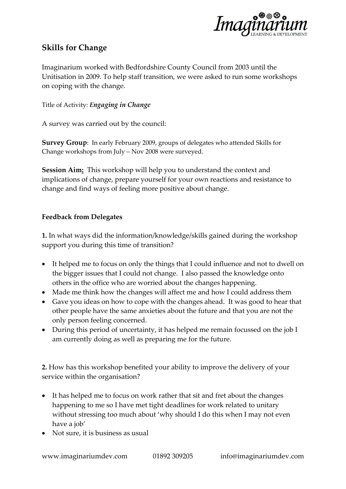

## **Skills for Change**

Imaginarium worked with Bedfordshire County Council from 2003 until the Unitisation in 2009. To help staff transition, we were asked to run some workshops on coping with the change.

Title of Activity: *Engaging in Change* 

A survey was carried out by the council:

**Survey Group**: In early February 2009, groups of delegates who attended Skills for Change workshops from July – Nov 2008 were surveyed.

**Session Aim:** This workshop will help you to understand the context and implications of change, prepare yourself for your own reactions and resistance to change and find ways of feeling more positive about change.

## **Feedback from Delegates**

**1.** In what ways did the information/knowledge/skills gained during the workshop support you during this time of transition?

- It helped me to focus on only the things that I could influence and not to dwell on the bigger issues that I could not change. I also passed the knowledge onto others in the office who are worried about the changes happening.
- Made me think how the changes will affect me and how I could address them
- Gave you ideas on how to cope with the changes ahead. It was good to hear that other people have the same anxieties about the future and that you are not the only person feeling concerned.
- During this period of uncertainty, it has helped me remain focussed on the job I am currently doing as well as preparing me for the future.

**2.** How has this workshop benefited your ability to improve the delivery of your service within the organisation?

- It has helped me to focus on work rather that sit and fret about the changes happening to me so I have met tight deadlines for work related to unitary without stressing too much about 'why should I do this when I may not even have a job'
- Not sure, it is business as usual